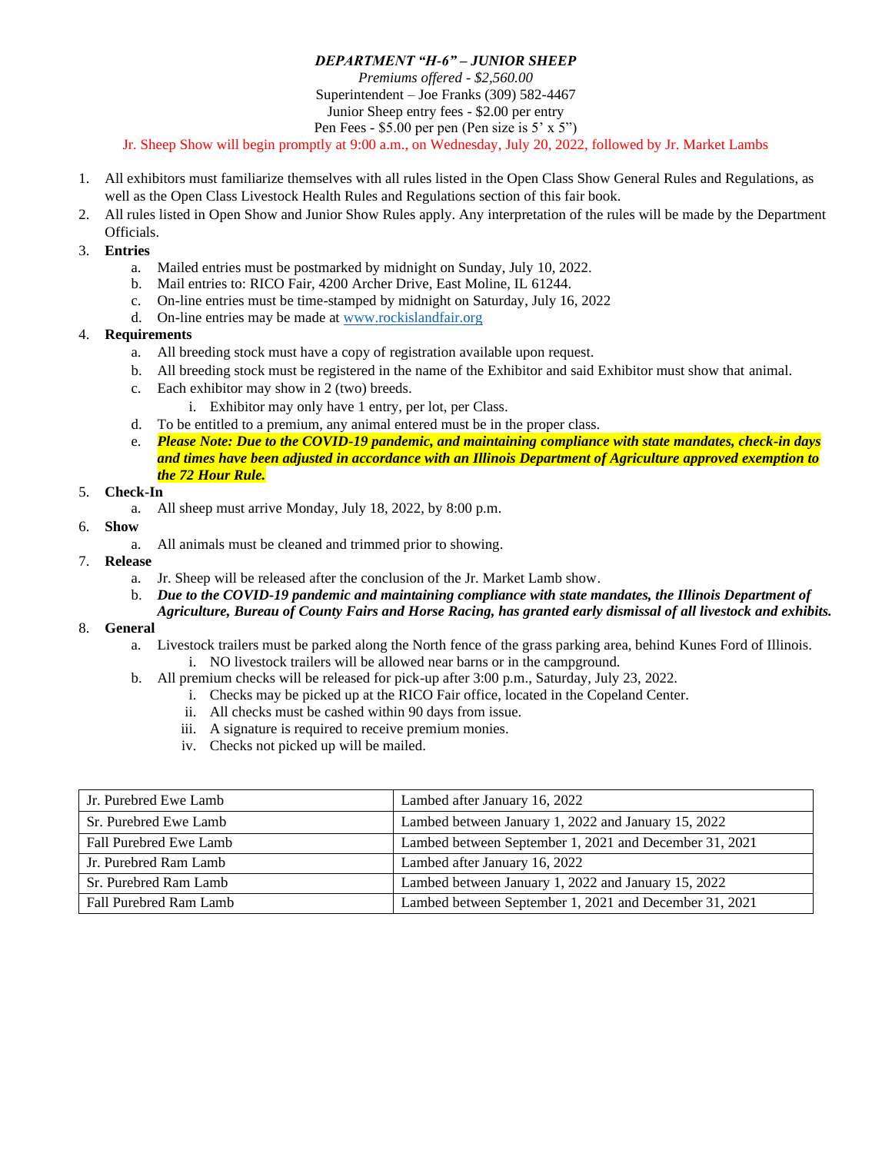## *DEPARTMENT "H-6" – JUNIOR SHEEP*

*Premiums offered - \$2,560.00* Superintendent – Joe Franks (309) 582-4467 Junior Sheep entry fees - \$2.00 per entry Pen Fees - \$5.00 per pen (Pen size is 5' x 5")

Jr. Sheep Show will begin promptly at 9:00 a.m., on Wednesday, July 20, 2022, followed by Jr. Market Lambs

- 1. All exhibitors must familiarize themselves with all rules listed in the Open Class Show General Rules and Regulations, as well as the Open Class Livestock Health Rules and Regulations section of this fair book.
- 2. All rules listed in Open Show and Junior Show Rules apply. Any interpretation of the rules will be made by the Department Officials.
- 3. **Entries** 
	- a. Mailed entries must be postmarked by midnight on Sunday, July 10, 2022.
	- b. Mail entries to: RICO Fair, 4200 Archer Drive, East Moline, IL 61244.
	- c. On-line entries must be time-stamped by midnight on Saturday, July 16, 2022
	- d. On-line entries may be made a[t www.rockislandfair.org](http://www.rockislandfair.org/)
- 4. **Requirements**
	- a. All breeding stock must have a copy of registration available upon request.
	- b. All breeding stock must be registered in the name of the Exhibitor and said Exhibitor must show that animal.
	- c. Each exhibitor may show in 2 (two) breeds.
		- i. Exhibitor may only have 1 entry, per lot, per Class.
	- d. To be entitled to a premium, any animal entered must be in the proper class.
	- e. *Please Note: Due to the COVID-19 pandemic, and maintaining compliance with state mandates, check-in days and times have been adjusted in accordance with an Illinois Department of Agriculture approved exemption to the 72 Hour Rule.*
- 5. **Check-In**
	- a. All sheep must arrive Monday, July 18, 2022, by 8:00 p.m.
- 6. **Show**
	- a. All animals must be cleaned and trimmed prior to showing.
- 7. **Release**
	- a. Jr. Sheep will be released after the conclusion of the Jr. Market Lamb show.
	- b. *Due to the COVID-19 pandemic and maintaining compliance with state mandates, the Illinois Department of Agriculture, Bureau of County Fairs and Horse Racing, has granted early dismissal of all livestock and exhibits.*

## 8. **General**

- a. Livestock trailers must be parked along the North fence of the grass parking area, behind Kunes Ford of Illinois.
	- i. NO livestock trailers will be allowed near barns or in the campground.
- b. All premium checks will be released for pick-up after 3:00 p.m., Saturday, July 23, 2022.
	- i. Checks may be picked up at the RICO Fair office, located in the Copeland Center.
	- ii. All checks must be cashed within 90 days from issue.
	- iii. A signature is required to receive premium monies.
	- iv. Checks not picked up will be mailed.

| Jr. Purebred Ewe Lamb  | Lambed after January 16, 2022                          |
|------------------------|--------------------------------------------------------|
| Sr. Purebred Ewe Lamb  | Lambed between January 1, 2022 and January 15, 2022    |
| Fall Purebred Ewe Lamb | Lambed between September 1, 2021 and December 31, 2021 |
| Jr. Purebred Ram Lamb  | Lambed after January 16, 2022                          |
| Sr. Purebred Ram Lamb  | Lambed between January 1, 2022 and January 15, 2022    |
| Fall Purebred Ram Lamb | Lambed between September 1, 2021 and December 31, 2021 |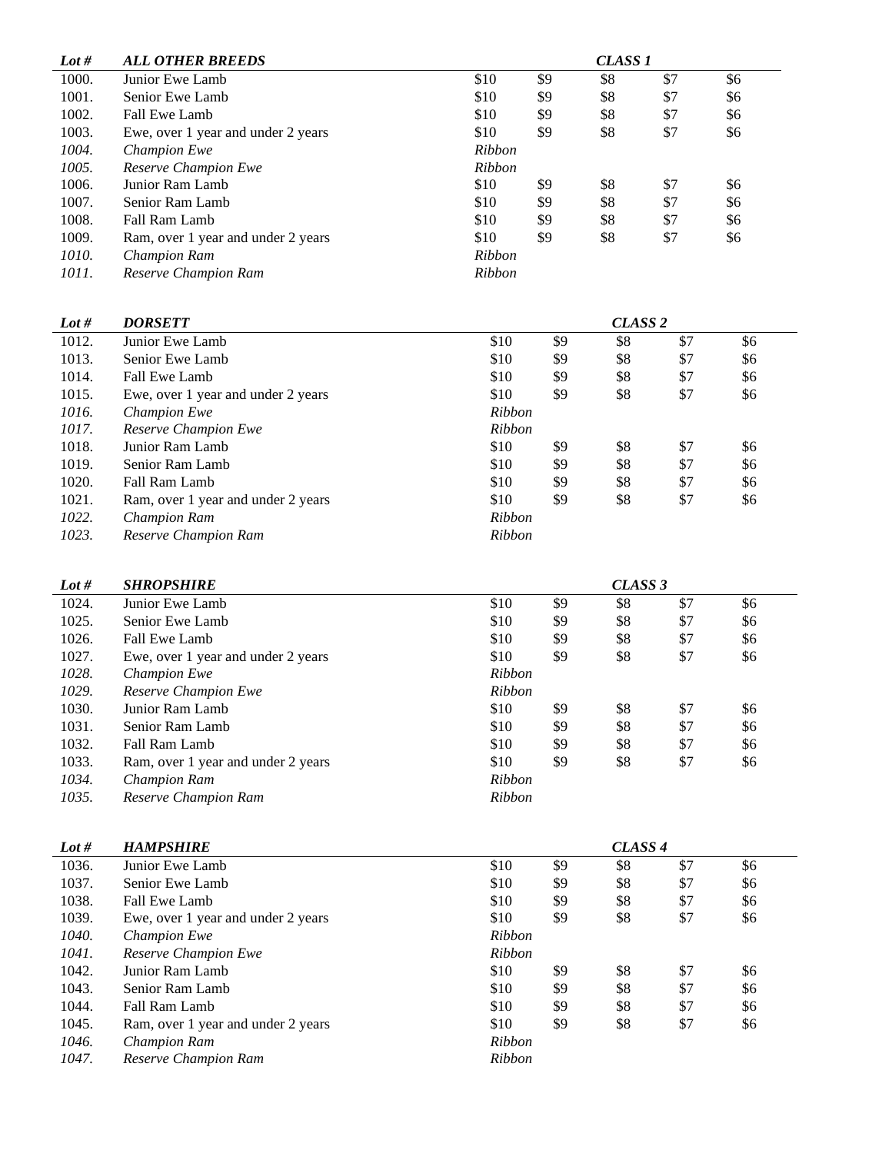| Lot # | <b>ALL OTHER BREEDS</b>            |               |     | <b>CLASS 1</b> |     |     |
|-------|------------------------------------|---------------|-----|----------------|-----|-----|
| 1000. | Junior Ewe Lamb                    | \$10          | \$9 | \$8            | \$7 | \$6 |
| 1001. | Senior Ewe Lamb                    | \$10          | \$9 | \$8            | \$7 | \$6 |
| 1002. | Fall Ewe Lamb                      | \$10          | \$9 | \$8            | \$7 | \$6 |
| 1003. | Ewe, over 1 year and under 2 years | \$10          | \$9 | \$8            | \$7 | \$6 |
| 1004. | <b>Champion Ewe</b>                | <i>Ribbon</i> |     |                |     |     |
| 1005. | Reserve Champion Ewe               | <b>Ribbon</b> |     |                |     |     |
| 1006. | Junior Ram Lamb                    | \$10          | \$9 | \$8            | \$7 | \$6 |
| 1007. | Senior Ram Lamb                    | \$10          | \$9 | \$8            | \$7 | \$6 |
| 1008. | Fall Ram Lamb                      | \$10          | \$9 | \$8            | \$7 | \$6 |
| 1009. | Ram, over 1 year and under 2 years | \$10          | \$9 | \$8            | \$7 | \$6 |
| 1010. | <b>Champion Ram</b>                | <b>Ribbon</b> |     |                |     |     |
| 1011. | Reserve Champion Ram               | <b>Ribbon</b> |     |                |     |     |

| Lot # | <b>DORSETT</b>                     |               |     | CLASS <sub>2</sub> |     |     |
|-------|------------------------------------|---------------|-----|--------------------|-----|-----|
| 1012. | Junior Ewe Lamb                    | \$10          | \$9 | \$8                | \$7 | \$6 |
| 1013. | Senior Ewe Lamb                    | \$10          | \$9 | \$8                | \$7 | \$6 |
| 1014. | Fall Ewe Lamb                      | \$10          | \$9 | \$8                | \$7 | \$6 |
| 1015. | Ewe, over 1 year and under 2 years | \$10          | \$9 | \$8                | \$7 | \$6 |
| 1016. | <b>Champion Ewe</b>                | <b>Ribbon</b> |     |                    |     |     |
| 1017. | Reserve Champion Ewe               | <b>Ribbon</b> |     |                    |     |     |
| 1018. | Junior Ram Lamb                    | \$10          | \$9 | \$8                | \$7 | \$6 |
| 1019. | Senior Ram Lamb                    | \$10          | \$9 | \$8                | \$7 | \$6 |
| 1020. | Fall Ram Lamb                      | \$10          | \$9 | \$8                | \$7 | \$6 |
| 1021. | Ram, over 1 year and under 2 years | \$10          | \$9 | \$8                | \$7 | \$6 |
| 1022. | <b>Champion Ram</b>                | <b>Ribbon</b> |     |                    |     |     |
| 1023. | Reserve Champion Ram               | <b>Ribbon</b> |     |                    |     |     |

| Lot # | <b>SHROPSHIRE</b>                  |               |     | CLASS 3 |     |     |
|-------|------------------------------------|---------------|-----|---------|-----|-----|
| 1024. | Junior Ewe Lamb                    | \$10          | \$9 | \$8     | \$7 | \$6 |
| 1025. | Senior Ewe Lamb                    | \$10          | \$9 | \$8     | \$7 | \$6 |
| 1026. | Fall Ewe Lamb                      | \$10          | \$9 | \$8     | \$7 | \$6 |
| 1027. | Ewe, over 1 year and under 2 years | \$10          | \$9 | \$8     | \$7 | \$6 |
| 1028. | <b>Champion Ewe</b>                | <i>Ribbon</i> |     |         |     |     |
| 1029. | Reserve Champion Ewe               | <b>Ribbon</b> |     |         |     |     |
| 1030. | Junior Ram Lamb                    | \$10          | \$9 | \$8     | \$7 | \$6 |
| 1031. | Senior Ram Lamb                    | \$10          | \$9 | \$8     | \$7 | \$6 |
| 1032. | Fall Ram Lamb                      | \$10          | \$9 | \$8     | \$7 | \$6 |
| 1033. | Ram, over 1 year and under 2 years | \$10          | \$9 | \$8     | \$7 | \$6 |
| 1034. | <b>Champion Ram</b>                | <i>Ribbon</i> |     |         |     |     |
| 1035. | Reserve Champion Ram               | <b>Ribbon</b> |     |         |     |     |

| Lot # | <b>HAMPSHIRE</b>                   |               |     | CLASS <sub>4</sub> |     |     |
|-------|------------------------------------|---------------|-----|--------------------|-----|-----|
| 1036. | Junior Ewe Lamb                    | \$10          | \$9 | \$8                | \$7 | \$6 |
| 1037. | Senior Ewe Lamb                    | \$10          | \$9 | \$8                | \$7 | \$6 |
| 1038. | Fall Ewe Lamb                      | \$10          | \$9 | \$8                | \$7 | \$6 |
| 1039. | Ewe, over 1 year and under 2 years | \$10          | \$9 | \$8                | \$7 | \$6 |
| 1040. | <b>Champion Ewe</b>                | <b>Ribbon</b> |     |                    |     |     |
| 1041. | Reserve Champion Ewe               | <b>Ribbon</b> |     |                    |     |     |
| 1042. | Junior Ram Lamb                    | \$10          | \$9 | \$8                | \$7 | \$6 |
| 1043. | Senior Ram Lamb                    | \$10          | \$9 | \$8                | \$7 | \$6 |
| 1044. | Fall Ram Lamb                      | \$10          | \$9 | \$8                | \$7 | \$6 |
| 1045. | Ram, over 1 year and under 2 years | \$10          | \$9 | \$8                | \$7 | \$6 |
| 1046. | <b>Champion Ram</b>                | <b>Ribbon</b> |     |                    |     |     |
| 1047. | Reserve Champion Ram               | Ribbon        |     |                    |     |     |